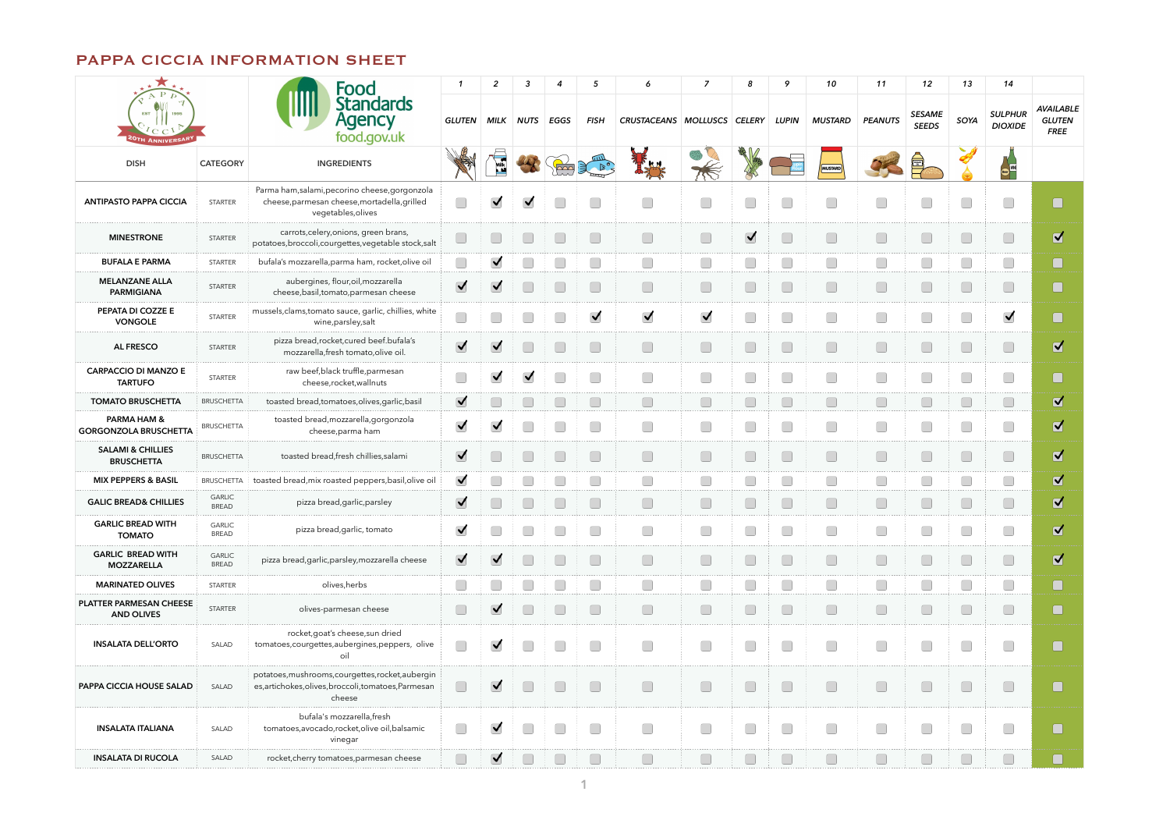## PAPPA CICCIA INFORMATION SHEET

| $\star$ $\overline{\phantom{1}}$                  |                               | <b>boo</b>                                                                                                           |                                        | $\overline{2}$       |                      |      |                                         |                             |                                                | 8                    |       | 10             | 11             | 12                            | 13     | 14                               |                                                  |
|---------------------------------------------------|-------------------------------|----------------------------------------------------------------------------------------------------------------------|----------------------------------------|----------------------|----------------------|------|-----------------------------------------|-----------------------------|------------------------------------------------|----------------------|-------|----------------|----------------|-------------------------------|--------|----------------------------------|--------------------------------------------------|
| 1995<br><b>ANNIVERS</b>                           |                               | <b>Standards</b><br><b>Agency</b><br>food.gov.uk                                                                     | <b>GLUTEN</b>                          | <b>MILK</b>          | <b>NUTS</b>          | EGGS | <b>FISH</b>                             | CRUSTACEANS MOLLUSCS CELERY |                                                |                      | LUPIN | MUSTARD        | <b>PEANUTS</b> | <b>SESAME</b><br><b>SEEDS</b> | SOYA   | <b>SULPHUR</b><br><b>DIOXIDE</b> | <b>AVAILABLE</b><br><b>GLUTEN</b><br><b>FREE</b> |
| <b>DISH</b>                                       | <b>CATEGORY</b>               | <b>INGREDIENTS</b>                                                                                                   |                                        |                      |                      |      |                                         |                             |                                                |                      |       | <b>MUSTARD</b> |                |                               |        |                                  |                                                  |
| <b>ANTIPASTO PAPPA CICCIA</b>                     | <b>STARTER</b>                | Parma ham, salami, pecorino cheese, gorgonzola<br>cheese, parmesan cheese, mortadella, grilled<br>vegetables, olives |                                        | $\blacktriangledown$ | $\blacktriangledown$ |      |                                         |                             |                                                |                      |       |                |                |                               |        |                                  |                                                  |
| <b>MINESTRONE</b>                                 | <b>STARTER</b>                | carrots, celery, onions, green brans,<br>potatoes, broccoli, courgettes, vegetable stock, salt                       | $\overline{\phantom{a}}$               |                      |                      |      |                                         |                             |                                                | $\blacktriangledown$ |       |                |                |                               |        |                                  | $\overline{\blacktriangledown}$                  |
| <b>BUFALA E PARMA</b>                             | <b>STARTER</b>                | bufala's mozzarella, parma ham, rocket, olive oil                                                                    | $\begin{bmatrix} 1 \\ 1 \end{bmatrix}$ | $\blacktriangledown$ |                      |      |                                         |                             | $\begin{bmatrix} 1 & 1 \\ 1 & 1 \end{bmatrix}$ |                      |       |                |                |                               |        |                                  |                                                  |
| <b>MELANZANE ALLA</b><br><b>PARMIGIANA</b>        | STARTER                       | aubergines, flour, oil, mozzarella<br>cheese, basil, tomato, parmesan cheese                                         | $\blacktriangledown$                   | $\blacktriangledown$ |                      |      |                                         |                             |                                                |                      |       |                |                |                               |        |                                  |                                                  |
| PEPATA DI COZZE E<br><b>VONGOLE</b>               | <b>STARTER</b>                | mussels, clams, tomato sauce, garlic, chillies, white<br>wine, parsley, salt                                         | $\Box$                                 |                      |                      |      | $\blacktriangledown$                    | $\blacktriangledown$        | $\blacktriangledown$                           |                      |       |                |                |                               |        |                                  |                                                  |
| <b>AL FRESCO</b>                                  | STARTER                       | pizza bread, rocket, cured beef. bufala's<br>mozzarella, fresh tomato, olive oil.                                    | $\blacktriangledown$                   | $\blacktriangledown$ |                      |      |                                         |                             |                                                |                      |       | $\Box$         |                |                               |        |                                  | $\blacktriangledown$                             |
| <b>CARPACCIO DI MANZO E</b><br><b>TARTUFO</b>     | <b>STARTER</b>                | raw beef, black truffle, parmesan<br>cheese, rocket, wallnuts                                                        |                                        | $\blacktriangledown$ | $\blacktriangledown$ |      |                                         |                             |                                                |                      |       |                |                |                               |        |                                  |                                                  |
| <b>TOMATO BRUSCHETTA</b>                          | <b>BRUSCHETTA</b>             | toasted bread, tomatoes, olives, garlic, basil                                                                       | $\blacktriangledown$                   |                      |                      |      |                                         |                             |                                                |                      |       |                |                |                               |        |                                  | $\blacktriangledown$                             |
| PARMA HAM &<br><b>GORGONZOLA BRUSCHETTA</b>       | <b>BRUSCHETTA</b>             | toasted bread, mozzarella, gorgonzola<br>cheese, parma ham                                                           | $\blacktriangledown$                   | $\blacktriangledown$ |                      |      |                                         |                             |                                                |                      |       |                |                |                               |        |                                  | $\overline{\mathbf{v}}$                          |
| <b>SALAMI &amp; CHILLIES</b><br><b>BRUSCHETTA</b> | <b>BRUSCHETTA</b>             | toasted bread, fresh chillies, salami                                                                                | $\blacktriangledown$                   |                      |                      |      |                                         |                             | $\Box$                                         |                      |       |                |                |                               |        |                                  | $\overline{\mathbf{v}}$                          |
| <b>MIX PEPPERS &amp; BASIL</b>                    |                               | BRUSCHETTA   toasted bread, mix roasted peppers, basil, olive oil                                                    | $\blacktriangledown$                   |                      |                      |      |                                         |                             | $\Box$                                         | $\Box$               |       | $\Box$         | $\Box$         |                               |        |                                  | $\overline{\mathbf{v}}$                          |
| <b>GALIC BREAD&amp; CHILLIES</b>                  | <b>GARLIC</b><br><b>BREAD</b> | pizza bread, garlic, parsley                                                                                         | $\blacktriangledown$                   | $\Box$               |                      |      |                                         | Œ                           | $\Box$                                         | $\Box$               |       | $\Box$         |                |                               |        |                                  | ☑                                                |
| <b>GARLIC BREAD WITH</b><br><b>TOMATO</b>         | GARLIC<br><b>BREAD</b>        | pizza bread, garlic, tomato                                                                                          | $\blacktriangledown$                   | $\Box$               |                      |      | $\begin{array}{ c } \hline \end{array}$ |                             | $\Box$                                         |                      |       |                |                |                               |        |                                  | $\overline{\mathsf{v}}$                          |
| <b>GARLIC BREAD WITH</b><br><b>MOZZARELLA</b>     | GARLIC<br><b>BREAD</b>        | pizza bread, garlic, parsley, mozzarella cheese                                                                      | $\blacktriangledown$                   | $\blacktriangledown$ |                      |      | $\Box$                                  | $\Box$                      | $\Box$                                         | $\Box$               |       | $\Box$         |                |                               |        |                                  | $\overline{\mathbf{v}}$                          |
| <b>MARINATED OLIVES</b>                           | STARTER                       | olives, herbs                                                                                                        | $\Box$                                 | $\Box$               |                      |      | Œ                                       |                             | $\Box$                                         | $\Box$               |       | $\Box$         | $\Box$         |                               | $\Box$ |                                  |                                                  |
| PLATTER PARMESAN CHEESE<br><b>AND OLIVES</b>      | <b>STARTER</b>                | olives-parmesan cheese                                                                                               | $\Box$                                 | $\blacktriangledown$ |                      |      | $\begin{array}{ c } \hline \end{array}$ | $\Box$                      | $\Box$                                         | $\Box$               |       | $\Box$         |                |                               |        |                                  |                                                  |
| <b>INSALATA DELL'ORTO</b>                         | SALAD                         | rocket, goat's cheese, sun dried<br>tomatoes, courgettes, aubergines, peppers, olive<br>oil                          | $\Box$                                 | $\blacktriangledown$ |                      |      | $\Box$                                  | $\Box$                      | $\Box$                                         | $\Box$               |       | $\Box$         |                |                               |        |                                  |                                                  |
| PAPPA CICCIA HOUSE SALAD                          | SALAD                         | potatoes, mushrooms, courgettes, rocket, aubergin<br>es, artichokes, olives, broccoli, tomatoes, Parmesan<br>cheese  | $\Box$                                 | $\blacktriangledown$ |                      |      | $\Box$                                  | $\Box$                      | $\bigcirc$                                     | $\Box$               |       | $\Box$         |                |                               |        |                                  |                                                  |
| <b>INSALATA ITALIANA</b>                          | SALAD                         | bufala's mozzarella, fresh<br>tomatoes, avocado, rocket, olive oil, balsamic<br>vinegar                              | $\Box$                                 | $\blacktriangledown$ |                      |      | $\Box$                                  | $\Box$                      | $\Box$                                         | $\Box$               |       | $\Box$         |                |                               |        |                                  |                                                  |
| <b>INSALATA DI RUCOLA</b>                         | SALAD                         | rocket, cherry tomatoes, parmesan cheese                                                                             | $\Box$                                 | $\blacktriangledown$ |                      |      | $\Box$                                  | $\mathbb{R}^n$              | $\Box$                                         | $\Box$               |       | $\sim$         |                |                               |        |                                  |                                                  |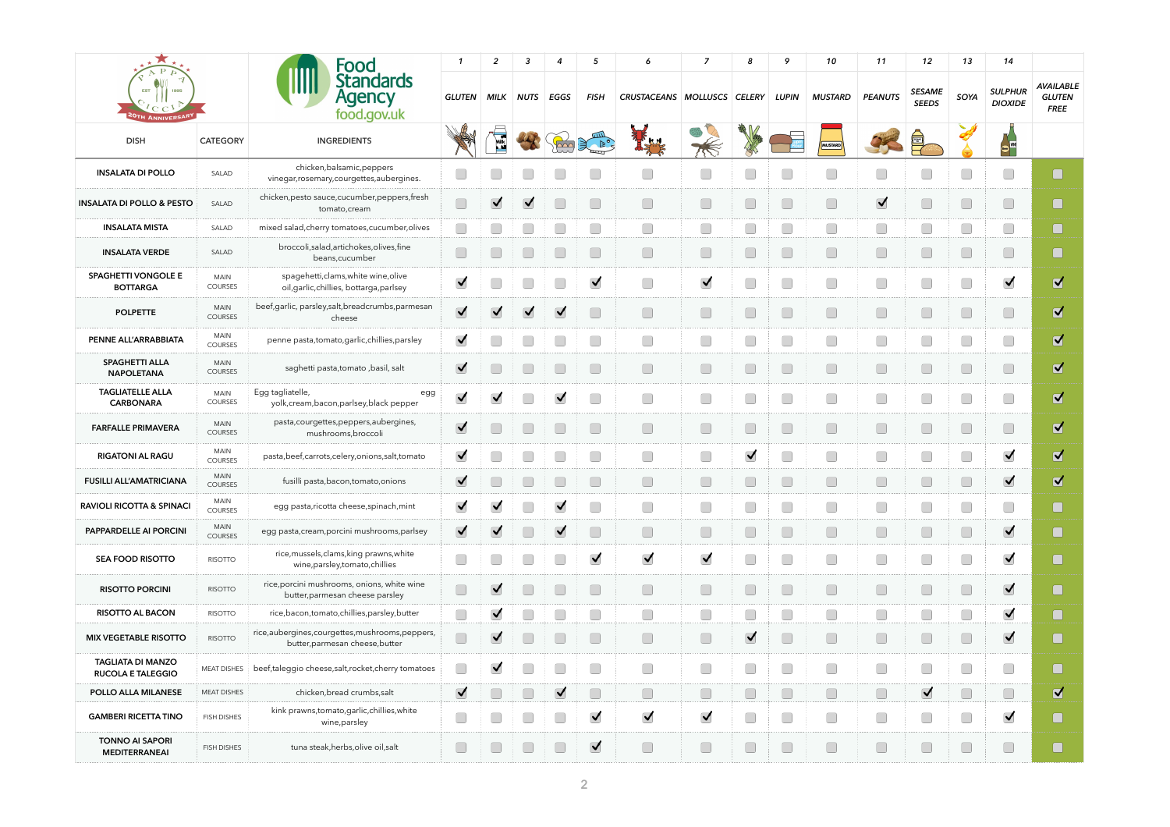| <b>EST</b><br>1995<br><b>ANNIVERS</b>                |                               | <b>FOOD</b><br><b>Standards</b><br><b>Agency</b><br>food.gov.uk                      | <b>GLUTEN</b>                                                | $\overline{2}$<br>MILK | - 3<br><b>NUTS</b>       | EGGS                 | -5<br>FISH                             | 6<br>CRUSTACEANS MOLLUSCS CELERY LUPIN |                      | 8                    | 10<br>MUSTARD            | 11<br><b>PEANUTS</b>                   | 12<br><b>SESAME</b><br><b>SEEDS</b>                                                                                                                                                                                                                                                                                                                 | 13<br>SOYA | 14<br><b>SULPHUR</b><br><b>DIOXIDE</b> | <b>AVAILABLE</b><br><b>GLUTEN</b><br><b>FREE</b> |
|------------------------------------------------------|-------------------------------|--------------------------------------------------------------------------------------|--------------------------------------------------------------|------------------------|--------------------------|----------------------|----------------------------------------|----------------------------------------|----------------------|----------------------|--------------------------|----------------------------------------|-----------------------------------------------------------------------------------------------------------------------------------------------------------------------------------------------------------------------------------------------------------------------------------------------------------------------------------------------------|------------|----------------------------------------|--------------------------------------------------|
| <b>DISH</b>                                          | <b>CATEGORY</b>               | <b>INGREDIENTS</b>                                                                   |                                                              | Milk                   |                          |                      |                                        |                                        |                      |                      | MUSTARD                  |                                        | $\begin{picture}(180,10) \put(0,0){\line(1,0){10}} \put(10,0){\line(1,0){10}} \put(10,0){\line(1,0){10}} \put(10,0){\line(1,0){10}} \put(10,0){\line(1,0){10}} \put(10,0){\line(1,0){10}} \put(10,0){\line(1,0){10}} \put(10,0){\line(1,0){10}} \put(10,0){\line(1,0){10}} \put(10,0){\line(1,0){10}} \put(10,0){\line(1,0){10}} \put(10,0){\line($ |            |                                        |                                                  |
| <b>INSALATA DI POLLO</b>                             | SALAD                         | chicken, balsamic, peppers<br>vinegar, rosemary, courgettes, aubergines.             |                                                              |                        |                          |                      |                                        | $\Box$                                 |                      |                      |                          |                                        |                                                                                                                                                                                                                                                                                                                                                     |            |                                        |                                                  |
| <b>INSALATA DI POLLO &amp; PESTO</b>                 | SALAD                         | chicken, pesto sauce, cucumber, peppers, fresh<br>tomato, cream                      | $\Box$                                                       | $\blacktriangledown$   | $\blacktriangledown$     |                      | Œ                                      | $\Box$                                 |                      |                      |                          | $\blacktriangledown$                   |                                                                                                                                                                                                                                                                                                                                                     |            |                                        |                                                  |
| <b>INSALATA MISTA</b>                                | SALAD                         | mixed salad, cherry tomatoes, cucumber, olives                                       | $\begin{pmatrix} 1 \\ 1 \end{pmatrix}$                       |                        |                          |                      | $\begin{pmatrix} 1 \\ 1 \end{pmatrix}$ | $\begin{pmatrix} 1 \\ 1 \end{pmatrix}$ | $\Box$               |                      |                          | $\begin{pmatrix} 1 \\ 1 \end{pmatrix}$ | $\mathbb{R}^n$                                                                                                                                                                                                                                                                                                                                      | la s       | $\mathbb{R}^n$                         |                                                  |
| <b>INSALATA VERDE</b>                                | SALAD                         | broccoli, salad, artichokes, olives, fine<br>beans, cucumber                         |                                                              |                        |                          |                      | $\Box$                                 | $\Box$                                 |                      |                      |                          |                                        |                                                                                                                                                                                                                                                                                                                                                     |            |                                        |                                                  |
| <b>SPAGHETTI VONGOLE E</b><br><b>BOTTARGA</b>        | <b>MAIN</b><br><b>COURSES</b> | spagehetti, clams, white wine, olive<br>oil, garlic, chillies, bottarga, parlsey     | $\blacktriangledown$                                         |                        |                          |                      | $\blacktriangledown$                   | $\Box$                                 | $\blacktriangledown$ |                      |                          |                                        |                                                                                                                                                                                                                                                                                                                                                     |            | $\blacktriangledown$                   | $\overline{\mathsf{v}}$                          |
| <b>POLPETTE</b>                                      | <b>MAIN</b><br><b>COURSES</b> | beef, garlic, parsley, salt, breadcrumbs, parmesan<br>cheese                         | $\blacktriangledown$                                         | $\blacktriangledown$   | $\blacktriangledown$     | $\blacktriangledown$ |                                        | $\Box$                                 |                      |                      |                          |                                        |                                                                                                                                                                                                                                                                                                                                                     |            |                                        | $\blacktriangledown$                             |
| PENNE ALL'ARRABBIATA                                 | MAIN<br><b>COURSES</b>        | penne pasta, tomato, garlic, chillies, parsley                                       | $\blacktriangledown$                                         |                        |                          |                      | $\Box$                                 |                                        |                      |                      |                          |                                        |                                                                                                                                                                                                                                                                                                                                                     |            |                                        | $\overline{\mathbf{v}}$                          |
| <b>SPAGHETTI ALLA</b><br><b>NAPOLETANA</b>           | <b>MAIN</b><br><b>COURSES</b> | saghetti pasta, tomato, basil, salt                                                  | $\blacktriangledown$                                         |                        |                          |                      | $\Box$                                 | $\Box$                                 |                      |                      |                          |                                        |                                                                                                                                                                                                                                                                                                                                                     |            |                                        | $\blacktriangledown$                             |
| <b>TAGLIATELLE ALLA</b><br><b>CARBONARA</b>          | <b>MAIN</b><br>COURSES        | Egg tagliatelle,<br>egg<br>yolk, cream, bacon, parlsey, black pepper                 | $\blacktriangledown$                                         | $\blacktriangledown$   |                          |                      |                                        | $\Box$                                 |                      |                      |                          |                                        |                                                                                                                                                                                                                                                                                                                                                     |            |                                        | $\overline{\mathbf{v}}$                          |
| <b>FARFALLE PRIMAVERA</b>                            | <b>MAIN</b><br><b>COURSES</b> | pasta, courgettes, peppers, aubergines,<br>mushrooms, broccoli                       | $\blacktriangledown$                                         |                        |                          |                      |                                        |                                        |                      |                      |                          |                                        |                                                                                                                                                                                                                                                                                                                                                     |            |                                        | $\overline{\mathbf{v}}$                          |
| <b>RIGATONI AL RAGU</b>                              | MAIN<br><b>COURSES</b>        | pasta, beef, carrots, celery, onions, salt, tomato                                   | $\blacktriangledown$                                         | $\Box$                 | $\overline{\phantom{a}}$ |                      | $\Box$                                 | $\Box$                                 | $\Box$               | $\blacktriangledown$ |                          | $\Box$                                 |                                                                                                                                                                                                                                                                                                                                                     |            | $\blacktriangledown$                   | $\overline{\mathbf{v}}$                          |
| <b>FUSILLI ALL'AMATRICIANA</b>                       | <b>MAIN</b><br><b>COURSES</b> | fusilli pasta, bacon, tomato, onions                                                 | $\blacktriangledown$                                         |                        | $\Box$                   |                      | $\Box$                                 | $\Box$                                 | $\Box$               |                      | $\overline{\phantom{0}}$ | $\Box$                                 |                                                                                                                                                                                                                                                                                                                                                     |            | $\blacktriangledown$                   | $\blacktriangledown$                             |
| <b>RAVIOLI RICOTTA &amp; SPINACI</b>                 | MAIN<br><b>COURSES</b>        | egg pasta, ricotta cheese, spinach, mint                                             | $\blacktriangledown$                                         | $\blacktriangledown$   |                          | $\blacktriangledown$ |                                        | Œ                                      |                      |                      |                          | $\Box$                                 |                                                                                                                                                                                                                                                                                                                                                     |            |                                        |                                                  |
| PAPPARDELLE AI PORCINI                               | <b>MAIN</b><br><b>COURSES</b> | egg pasta, cream, porcini mushrooms, parlsey                                         | $\blacktriangledown$                                         | $\blacktriangledown$   |                          | $\blacktriangledown$ |                                        | $\Box$                                 |                      |                      |                          | $\Box$                                 |                                                                                                                                                                                                                                                                                                                                                     |            | $\blacktriangledown$                   |                                                  |
| <b>SEA FOOD RISOTTO</b>                              | <b>RISOTTO</b>                | rice, mussels, clams, king prawns, white<br>wine, parsley, tomato, chillies          |                                                              |                        |                          |                      | $\blacktriangledown$                   | $\blacktriangledown$                   | $\blacktriangledown$ |                      |                          | $\Box$                                 |                                                                                                                                                                                                                                                                                                                                                     |            | $\blacktriangledown$                   |                                                  |
| <b>RISOTTO PORCINI</b>                               | <b>RISOTTO</b>                | rice, porcini mushrooms, onions, white wine<br>butter, parmesan cheese parsley       | $\begin{array}{ c } \hline \hline \hline \end{array}$        | $\blacktriangledown$   |                          |                      | $\Box$                                 | $\Box$                                 | $\Box$               |                      |                          | $\Box$                                 |                                                                                                                                                                                                                                                                                                                                                     |            | $\blacktriangledown$                   |                                                  |
| <b>RISOTTO AL BACON</b>                              | <b>RISOTTO</b>                | rice, bacon, tomato, chillies, parsley, butter                                       | $\Box$                                                       | $\blacktriangledown$   |                          |                      |                                        |                                        | $\Box$               |                      |                          |                                        |                                                                                                                                                                                                                                                                                                                                                     |            | $\blacktriangledown$                   |                                                  |
| <b>MIX VEGETABLE RISOTTO</b>                         | <b>RISOTTO</b>                | rice, aubergines, courgettes, mushrooms, peppers,<br>butter, parmesan cheese, butter | $\overline{\phantom{a}}$                                     | $\blacktriangledown$   |                          |                      | $\Box$                                 | $\Box$                                 | $\Box$               | $\blacktriangledown$ |                          | $\Box$                                 |                                                                                                                                                                                                                                                                                                                                                     |            | $\blacktriangledown$                   |                                                  |
| <b>TAGLIATA DI MANZO</b><br><b>RUCOLA E TALEGGIO</b> | <b>MEAT DISHES</b>            | beef, taleggio cheese, salt, rocket, cherry tomatoes                                 |                                                              | $\blacktriangledown$   | $\Box$                   |                      | $\Box$                                 | $\Box$                                 | $\Box$               |                      |                          | $\Box$                                 |                                                                                                                                                                                                                                                                                                                                                     |            |                                        |                                                  |
| POLLO ALLA MILANESE                                  | <b>MEAT DISHES</b>            | chicken, bread crumbs, salt                                                          | $\blacktriangledown$                                         |                        |                          | $\blacktriangledown$ | Œ                                      |                                        |                      |                      |                          |                                        | $\blacktriangledown$                                                                                                                                                                                                                                                                                                                                |            |                                        | $\blacktriangledown$                             |
| <b>GAMBERI RICETTA TINO</b>                          | FISH DISHES                   | kink prawns, tomato, garlic, chillies, white<br>wine, parsley                        | $\begin{array}{ c } \hline \hline \hline \hline \end{array}$ |                        |                          |                      | $\blacktriangledown$                   | $\blacktriangledown$                   | $\blacktriangledown$ |                      |                          |                                        |                                                                                                                                                                                                                                                                                                                                                     |            | $\blacktriangledown$                   |                                                  |
| <b>TONNO AI SAPORI</b><br><b>MEDITERRANEAI</b>       | FISH DISHES                   | tuna steak, herbs, olive oil, salt                                                   | $\Box$                                                       |                        |                          |                      | $\blacktriangledown$                   | $\Box$                                 |                      |                      |                          |                                        |                                                                                                                                                                                                                                                                                                                                                     |            |                                        |                                                  |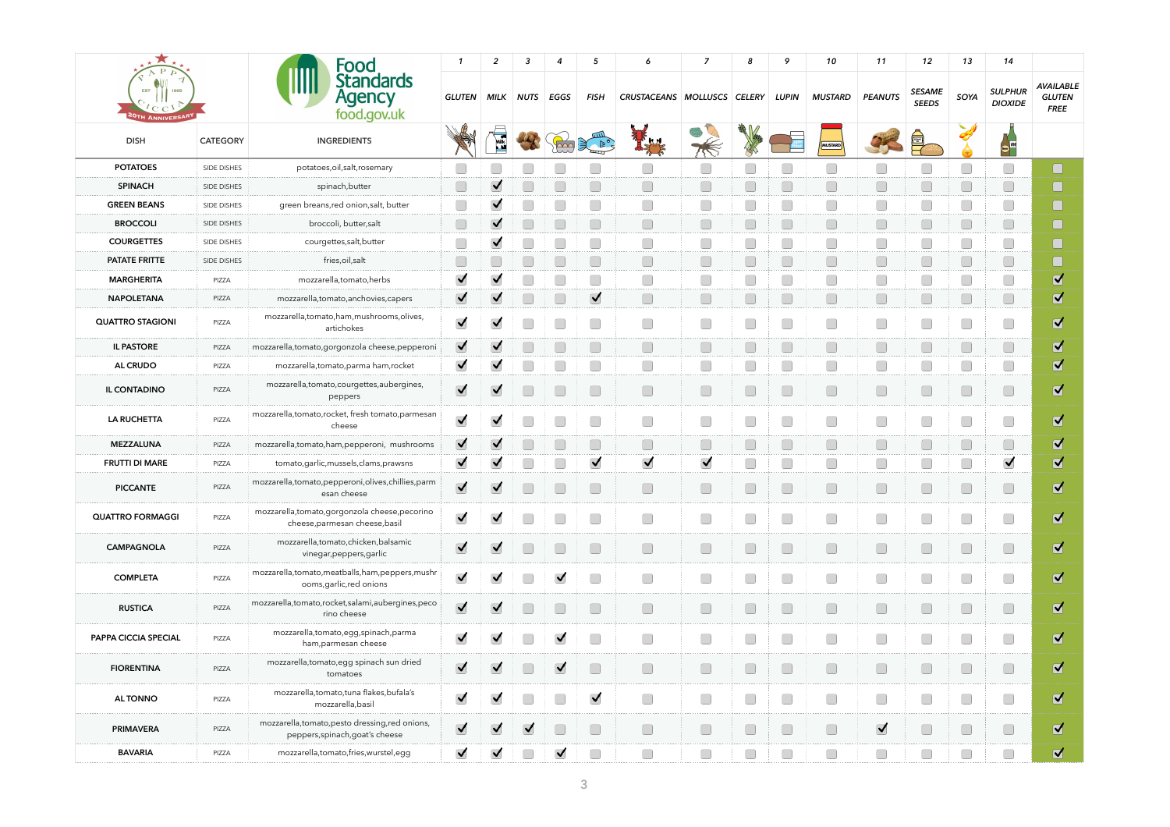| <b>EST</b><br>1995<br><sup>UTH</sup> ANNIVERS <sup>AI</sup> |                 | Food<br><b>Standards</b><br><b>Agency</b><br>food.gov.uk                           |                      | $\overline{a}$       | 3                    | 4                    | -5                   | -6                          |                                        | 8                                      | 9     | 10                                     | 11                                    | 12                                                                                                                                                                                                                                                                                                                                                  | 13                                     | 14                               |                                                  |
|-------------------------------------------------------------|-----------------|------------------------------------------------------------------------------------|----------------------|----------------------|----------------------|----------------------|----------------------|-----------------------------|----------------------------------------|----------------------------------------|-------|----------------------------------------|---------------------------------------|-----------------------------------------------------------------------------------------------------------------------------------------------------------------------------------------------------------------------------------------------------------------------------------------------------------------------------------------------------|----------------------------------------|----------------------------------|--------------------------------------------------|
|                                                             |                 |                                                                                    | <b>GLUTEN</b>        | MILK                 | <b>NUTS</b>          | EGGS                 | <b>FISH</b>          | CRUSTACEANS MOLLUSCS CELERY |                                        |                                        | LUPIN | <b>MUSTARD</b>                         | <b>PEANUTS</b>                        | <b>SESAME</b><br><b>SEEDS</b>                                                                                                                                                                                                                                                                                                                       | SOYA                                   | <b>SULPHUR</b><br><b>DIOXIDE</b> | <b>AVAILABLE</b><br><b>GLUTEN</b><br><b>FREE</b> |
| <b>DISH</b>                                                 | <b>CATEGORY</b> | <b>INGREDIENTS</b>                                                                 |                      |                      |                      |                      |                      |                             |                                        |                                        |       | <b>MUSTARD</b>                         |                                       | $\begin{picture}(120,110) \put(0,0){\line(1,0){10}} \put(15,0){\line(1,0){10}} \put(15,0){\line(1,0){10}} \put(15,0){\line(1,0){10}} \put(15,0){\line(1,0){10}} \put(15,0){\line(1,0){10}} \put(15,0){\line(1,0){10}} \put(15,0){\line(1,0){10}} \put(15,0){\line(1,0){10}} \put(15,0){\line(1,0){10}} \put(15,0){\line(1,0){10}} \put(15,0){\line$ |                                        |                                  |                                                  |
| <b>POTATOES</b>                                             | SIDE DISHES     | potatoes, oil, salt, rosemary                                                      |                      |                      |                      |                      |                      |                             | $\Box$                                 | $\Box$                                 |       | $\Box$                                 |                                       |                                                                                                                                                                                                                                                                                                                                                     | $\overline{\phantom{a}}$               |                                  |                                                  |
| <b>SPINACH</b>                                              | SIDE DISHES     | spinach, butter                                                                    |                      | $\blacktriangledown$ |                      |                      |                      |                             | $\Box$                                 | $\Box$                                 |       | $\Box$                                 |                                       |                                                                                                                                                                                                                                                                                                                                                     | $\Box$                                 |                                  |                                                  |
| <b>GREEN BEANS</b>                                          | SIDE DISHES     | green breans, red onion, salt, butter                                              | $\Box$               | $\blacktriangledown$ |                      |                      |                      |                             | $\Box$                                 | $\Box$                                 |       | $\Box$                                 |                                       |                                                                                                                                                                                                                                                                                                                                                     | $\Box$                                 |                                  |                                                  |
| <b>BROCCOLI</b>                                             | SIDE DISHES     | broccoli, butter, salt                                                             | $\Box$               | $\blacktriangledown$ |                      |                      |                      |                             | $\Box$                                 | $\Box$                                 |       | $\Box$                                 | $\Box$                                |                                                                                                                                                                                                                                                                                                                                                     | $\Box$                                 |                                  |                                                  |
| <b>COURGETTES</b>                                           | SIDE DISHES     | courgettes, salt, butter                                                           | $\Box$               | $\blacktriangledown$ |                      |                      |                      |                             | $\Box$                                 | $\Box$                                 |       | $\Box$                                 |                                       |                                                                                                                                                                                                                                                                                                                                                     | $\Box$                                 |                                  |                                                  |
| <b>PATATE FRITTE</b>                                        | SIDE DISHES     | fries, oil, salt                                                                   | $\Box$               |                      |                      |                      |                      | $\Box$                      | $\Box$                                 | $\Box$                                 |       | $\Box$                                 | $\Box$                                | $\Box$                                                                                                                                                                                                                                                                                                                                              | $\Box$                                 |                                  |                                                  |
| <b>MARGHERITA</b>                                           | PIZZA           | mozzarella, tomato, herbs                                                          | $\blacktriangledown$ | $\blacktriangledown$ |                      |                      |                      |                             | $\Box$                                 | $\Box$                                 |       | $\Box$                                 | $\Box$                                | $\begin{pmatrix} 1 \\ 1 \end{pmatrix}$                                                                                                                                                                                                                                                                                                              | $\Box$                                 |                                  | $\blacktriangledown$                             |
| <b>NAPOLETANA</b>                                           | PIZZA           | mozzarella, tomato, anchovies, capers                                              | $\blacktriangledown$ | $\blacktriangledown$ |                      |                      | $\blacktriangledown$ | $\Box$                      | $\Box$                                 | $\Box$                                 |       | $\Box$                                 | $\Box$                                | $\Box$                                                                                                                                                                                                                                                                                                                                              | $\Box$                                 |                                  | $\blacktriangledown$                             |
| <b>QUATTRO STAGIONI</b>                                     | PIZZA           | mozzarella, tomato, ham, mushrooms, olives,<br>artichokes                          | $\blacktriangledown$ | $\blacktriangledown$ |                      |                      |                      |                             | $\Box$                                 | $\Box$                                 |       | $\Box$                                 | $\Box$                                |                                                                                                                                                                                                                                                                                                                                                     | $\Box$                                 |                                  | $\blacktriangledown$                             |
| <b>IL PASTORE</b>                                           | PIZZA           | mozzarella, tomato, gorgonzola cheese, pepperoni                                   | $\blacktriangledown$ | $\blacktriangledown$ |                      |                      |                      |                             | $\begin{array}{ccc} \end{array}$       | $\Box$                                 |       | $\Box$                                 |                                       | $\Box$                                                                                                                                                                                                                                                                                                                                              | $\Box$                                 |                                  | $\blacktriangledown$                             |
| <b>AL CRUDO</b>                                             | PIZZA           | mozzarella, tomato, parma ham, rocket                                              | $\blacktriangledown$ | $\checkmark$         |                      |                      |                      |                             | $\begin{pmatrix} 1 \\ 1 \end{pmatrix}$ | $\Box$                                 |       | $\begin{pmatrix} 1 \ 1 \end{pmatrix}$  | $\begin{pmatrix} 1 & 1 \end{pmatrix}$ |                                                                                                                                                                                                                                                                                                                                                     | $\begin{pmatrix} 1 \\ 1 \end{pmatrix}$ |                                  | $\blacktriangledown$                             |
| <b>IL CONTADINO</b>                                         | PIZZA           | mozzarella, tomato, courgettes, aubergines,<br>peppers                             | $\blacktriangledown$ | $\blacktriangledown$ |                      |                      |                      |                             |                                        |                                        |       | $\Box$                                 |                                       |                                                                                                                                                                                                                                                                                                                                                     |                                        |                                  | $\blacktriangledown$                             |
| <b>LA RUCHETTA</b>                                          | PIZZA           | mozzarella, tomato, rocket, fresh tomato, parmesan<br>cheese                       | $\blacktriangledown$ | $\overline{ }$       |                      |                      |                      |                             |                                        |                                        |       |                                        |                                       |                                                                                                                                                                                                                                                                                                                                                     |                                        |                                  | ☑                                                |
| <b>MEZZALUNA</b>                                            | PIZZA           | mozzarella, tomato, ham, pepperoni, mushrooms                                      | $\blacktriangledown$ | $\blacktriangledown$ |                      |                      |                      |                             |                                        | $\begin{array}{c} \square \end{array}$ |       | $\begin{array}{c} \square \end{array}$ |                                       |                                                                                                                                                                                                                                                                                                                                                     | $\Box$                                 |                                  | ☑                                                |
| <b>FRUTTI DI MARE</b>                                       | PIZZA           | tomato, garlic, mussels, clams, prawsns                                            | $\blacktriangledown$ | $\blacktriangledown$ |                      |                      | $\blacktriangledown$ | $\blacktriangledown$        | $\blacktriangledown$                   | $\Box$                                 |       | $\Box$                                 | $\Box$                                |                                                                                                                                                                                                                                                                                                                                                     | $\Box$                                 | $\blacktriangledown$             | ☑                                                |
| <b>PICCANTE</b>                                             | PIZZA           | mozzarella, tomato, pepperoni, olives, chillies, parm<br>esan cheese               | $\blacktriangledown$ | $\blacktriangledown$ |                      |                      |                      | $\Box$                      | $\Box$                                 | $\Box$                                 |       | $\Box$                                 | $\Box$                                | $\Box$                                                                                                                                                                                                                                                                                                                                              | $\Box$                                 |                                  | ☑                                                |
| <b>QUATTRO FORMAGGI</b>                                     | PIZZA           | mozzarella, tomato, gorgonzola cheese, pecorino<br>cheese, parmesan cheese, basil  | $\blacktriangledown$ | $\blacktriangledown$ |                      |                      |                      |                             |                                        | $\Box$                                 |       | $\Box$                                 |                                       | $\Box$                                                                                                                                                                                                                                                                                                                                              | $\Box$                                 |                                  | ☑                                                |
| <b>CAMPAGNOLA</b>                                           | PIZZA           | mozzarella, tomato, chicken, balsamic<br>vinegar, peppers, garlic                  | $\blacktriangledown$ | $\blacktriangledown$ |                      |                      |                      |                             |                                        | $\Box$                                 |       | $\Box$                                 |                                       |                                                                                                                                                                                                                                                                                                                                                     |                                        |                                  | ☑                                                |
| <b>COMPLETA</b>                                             | PIZZA           | mozzarella, tomato, meatballs, ham, peppers, mushr<br>ooms, garlic, red onions     | $\blacktriangledown$ | $\blacktriangledown$ |                      | $\blacktriangledown$ |                      |                             |                                        | $\Box$                                 |       | $\Box$                                 |                                       |                                                                                                                                                                                                                                                                                                                                                     |                                        |                                  | $\blacktriangledown$                             |
| <b>RUSTICA</b>                                              | PIZZA           | mozzarella, tomato, rocket, salami, aubergines, peco<br>rino cheese                | $\blacktriangledown$ | $\blacktriangledown$ |                      |                      |                      | $\Box$                      | $\Box$                                 | $\Box$                                 |       | $\Box$                                 | $\Box$                                | $\Box$                                                                                                                                                                                                                                                                                                                                              | $\Box$                                 |                                  | ☑                                                |
| PAPPA CICCIA SPECIAL                                        | PIZZA           | mozzarella, tomato, egg, spinach, parma<br>ham, parmesan cheese                    | $\blacktriangledown$ | $\blacktriangledown$ |                      | $\blacktriangledown$ |                      | $\Box$                      | $\Box$                                 | $\Box$                                 |       | $\Box$                                 | $\Box$                                | $\Box$                                                                                                                                                                                                                                                                                                                                              | $\Box$                                 |                                  | $\overline{\mathbf{v}}$                          |
| <b>FIORENTINA</b>                                           | PIZZA           | mozzarella, tomato, egg spinach sun dried<br>tomatoes                              | $\blacktriangledown$ | $\blacktriangledown$ |                      | $\blacktriangledown$ |                      | $\Box$                      | $\Box$                                 | $\Box$                                 |       | $\Box$                                 | $\Box$                                | $\Box$                                                                                                                                                                                                                                                                                                                                              | $\Box$                                 |                                  | $\overline{\mathsf{v}}$                          |
| <b>ALTONNO</b>                                              | PIZZA           | mozzarella, tomato, tuna flakes, bufala's<br>mozzarella, basil                     | $\blacktriangledown$ | $\blacktriangledown$ |                      |                      | $\blacktriangledown$ | $\Box$                      | $\Box$                                 | $\Box$                                 |       | $\Box$                                 | $\Box$                                | $\Box$                                                                                                                                                                                                                                                                                                                                              | $\Box$                                 |                                  | $\overline{\mathbf{v}}$                          |
| <b>PRIMAVERA</b>                                            | PIZZA           | mozzarella, tomato, pesto dressing, red onions,<br>peppers, spinach, goat's cheese | $\blacktriangledown$ | $\blacktriangledown$ | $\blacktriangledown$ |                      |                      |                             | $\Box$                                 | $\Box$                                 |       | $\Box$                                 | $\blacktriangledown$                  |                                                                                                                                                                                                                                                                                                                                                     | $\Box$                                 |                                  | $\blacktriangledown$                             |
| <b>BAVARIA</b>                                              | PIZZA           | mozzarella, tomato, fries, wurstel, egg                                            | $\blacktriangledown$ | $\blacktriangledown$ |                      | $\blacktriangledown$ |                      |                             |                                        | $\mathcal{L}$                          |       |                                        |                                       |                                                                                                                                                                                                                                                                                                                                                     |                                        |                                  | $\blacktriangledown$                             |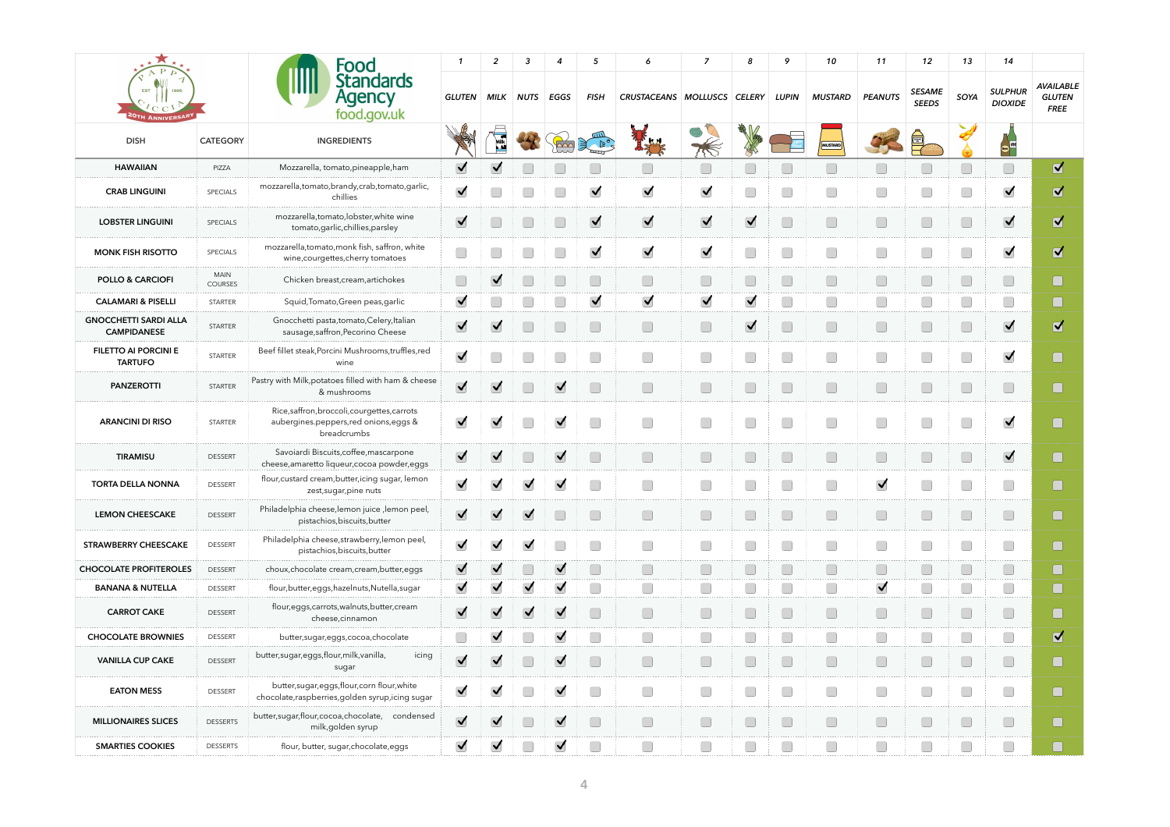| <b>EST</b><br>1995<br><b>ANNIVERS</b>              |                               | <b>FOOD</b>                                                                                          |                               | 2                        | -3                   |                          | -5                   | 6                                 |                      | 8                    | 10             | 11                   | 12                            | 13   | 14                               |                                                  |
|----------------------------------------------------|-------------------------------|------------------------------------------------------------------------------------------------------|-------------------------------|--------------------------|----------------------|--------------------------|----------------------|-----------------------------------|----------------------|----------------------|----------------|----------------------|-------------------------------|------|----------------------------------|--------------------------------------------------|
|                                                    |                               | <b>Standards</b><br><b>Agency</b><br>food.gov.uk                                                     | <b>GLUTEN</b> MILK            |                          | <b>NUTS</b>          | EGGS                     | <b>FISH</b>          | CRUSTACEANS MOLLUSCS CELERY LUPIN |                      |                      | MUSTARD        | <b>PEANUTS</b>       | <b>SESAME</b><br><b>SEEDS</b> | SOYA | <b>SULPHUR</b><br><b>DIOXIDE</b> | <b>AVAILABLE</b><br><b>GLUTEN</b><br><b>FREE</b> |
| <b>DISH</b>                                        | <b>CATEGORY</b>               | <b>INGREDIENTS</b>                                                                                   |                               |                          |                      |                          |                      |                                   |                      |                      | <b>MUSTARD</b> |                      | E                             |      |                                  |                                                  |
| <b>HAWAIIAN</b>                                    | PIZZA                         | Mozzarella, tomato, pineapple, ham                                                                   | $\blacktriangledown$          | $\blacktriangledown$     |                      |                          |                      | $\cup$                            |                      |                      |                |                      |                               |      | $\cup$                           | $\blacktriangledown$                             |
| <b>CRAB LINGUINI</b>                               | SPECIALS                      | mozzarella, tomato, brandy, crab, tomato, garlic,<br>chillies                                        | $\blacktriangledown$          |                          |                      |                          | $\blacktriangledown$ | $\blacktriangledown$              | $\blacktriangledown$ |                      |                |                      |                               |      | $\blacktriangledown$             | $\overline{\mathbf{v}}$                          |
| <b>LOBSTER LINGUINI</b>                            | SPECIALS                      | mozzarella, tomato, lobster, white wine<br>tomato, garlic, chillies, parsley                         | $\blacktriangledown$          |                          |                      |                          | $\blacktriangledown$ | $\blacktriangledown$              | $\blacktriangledown$ | $\blacktriangledown$ |                |                      |                               |      | $\blacktriangledown$             | $\overline{\mathsf{v}}$                          |
| <b>MONK FISH RISOTTO</b>                           | SPECIALS                      | mozzarella, tomato, monk fish, saffron, white<br>wine, courgettes, cherry tomatoes                   | $\Box$                        |                          |                      |                          | $\blacktriangledown$ | $\blacktriangledown$              | $\blacktriangledown$ |                      |                |                      |                               |      | $\blacktriangledown$             | $\blacktriangledown$                             |
| <b>POLLO &amp; CARCIOFI</b>                        | <b>MAIN</b><br><b>COURSES</b> | Chicken breast, cream, artichokes                                                                    | $\Box$                        | $\blacktriangledown$     |                      |                          | $\Box$               |                                   |                      |                      |                |                      |                               |      |                                  |                                                  |
| <b>CALAMARI &amp; PISELLI</b>                      | <b>STARTER</b>                | Squid, Tomato, Green peas, garlic                                                                    | $\blacktriangledown$          |                          |                      |                          | $\blacktriangledown$ | $\blacktriangledown$              | $\blacktriangledown$ | $\blacktriangledown$ |                |                      |                               |      |                                  |                                                  |
| <b>GNOCCHETTI SARDI ALLA</b><br><b>CAMPIDANESE</b> | <b>STARTER</b>                | Gnocchetti pasta, tomato, Celery, Italian<br>sausage, saffron, Pecorino Cheese                       | $\blacktriangledown$          | $\blacktriangledown$     |                      |                          | $\Box$               | $\Box$                            | $\Box$               | $\blacktriangledown$ |                |                      |                               |      | $\blacktriangledown$             | $\blacktriangledown$                             |
| <b>FILETTO AI PORCINI E</b><br><b>TARTUFO</b>      | <b>STARTER</b>                | Beef fillet steak, Porcini Mushrooms, truffles, red<br>wine                                          | $\blacktriangledown$          |                          |                      |                          | Œ                    | $\Box$                            |                      |                      |                |                      |                               |      | $\blacktriangledown$             |                                                  |
| <b>PANZEROTTI</b>                                  | <b>STARTER</b>                | Pastry with Milk, potatoes filled with ham & cheese<br>& mushrooms                                   | $\blacktriangledown$          | $\blacktriangledown$     |                      | $\blacktriangledown$     | $\Box$               | $\Box$                            |                      |                      |                |                      |                               |      |                                  |                                                  |
| <b>ARANCINI DI RISO</b>                            | <b>STARTER</b>                | Rice,saffron, broccoli, courgettes, carrots<br>aubergines.peppers, red onions, eggs &<br>breadcrumbs | $\overline{\phantom{a}}$<br>M | $\overline{\phantom{a}}$ |                      | $\overline{\phantom{a}}$ |                      |                                   |                      |                      |                |                      |                               |      |                                  |                                                  |
| <b>TIRAMISU</b>                                    | <b>DESSERT</b>                | Savoiardi Biscuits, coffee, mascarpone<br>cheese, amaretto liqueur, cocoa powder, eggs               | $\blacktriangledown$          | $\blacktriangledown$     |                      | $\blacktriangledown$     |                      |                                   |                      |                      |                |                      |                               |      | $\blacktriangledown$             |                                                  |
| <b>TORTA DELLA NONNA</b>                           | <b>DESSERT</b>                | flour, custard cream, butter, icing sugar, lemon<br>zest, sugar, pine nuts                           | $\blacktriangledown$          | $\blacktriangledown$     |                      |                          |                      |                                   |                      |                      |                | $\blacktriangledown$ |                               |      |                                  |                                                  |
| <b>LEMON CHEESCAKE</b>                             | <b>DESSERT</b>                | Philadelphia cheese, lemon juice, lemon peel,<br>pistachios, biscuits, butter                        | $\blacktriangledown$          | $\blacktriangledown$     | $\blacktriangledown$ |                          | $\Box$               | $\Box$                            |                      |                      |                |                      |                               |      |                                  |                                                  |
| <b>STRAWBERRY CHEESCAKE</b>                        | <b>DESSERT</b>                | Philadelphia cheese, strawberry, lemon peel,<br>pistachios, biscuits, butter                         | $\blacktriangledown$          | $\blacktriangledown$     | $\blacktriangledown$ |                          | $\Box$               |                                   |                      |                      |                |                      |                               |      |                                  |                                                  |
| <b>CHOCOLATE PROFITEROLES</b>                      | <b>DESSERT</b>                | choux, chocolate cream, cream, butter, eggs                                                          | $\blacktriangledown$          | $\blacktriangledown$     |                      | $\blacktriangledown$     |                      |                                   |                      |                      |                |                      |                               |      |                                  |                                                  |
| <b>BANANA &amp; NUTELLA</b>                        | <b>DESSERT</b>                | flour, butter, eggs, hazelnuts, Nutella, sugar                                                       | $\blacktriangledown$          | $\blacktriangledown$     | $\blacktriangledown$ | $\blacktriangledown$     |                      |                                   |                      |                      |                | $\blacktriangledown$ |                               |      |                                  |                                                  |
| <b>CARROT CAKE</b>                                 | <b>DESSERT</b>                | flour, eggs, carrots, walnuts, butter, cream<br>cheese, cinnamon                                     | $\blacktriangledown$          | $\blacktriangledown$     | $\blacktriangledown$ | $\blacktriangledown$     |                      |                                   |                      |                      |                |                      |                               |      |                                  |                                                  |
| <b>CHOCOLATE BROWNIES</b>                          | <b>DESSERT</b>                | butter, sugar, eggs, cocoa, chocolate                                                                |                               | $\blacktriangledown$     |                      | $\blacktriangledown$     | $\Box$               |                                   |                      |                      |                |                      |                               |      |                                  | ☑                                                |
| <b>VANILLA CUP CAKE</b>                            | <b>DESSERT</b>                | butter, sugar, eggs, flour, milk, vanilla,<br>icing<br>sugar                                         | $\blacktriangledown$          | $\blacktriangledown$     |                      | $\blacktriangledown$     |                      |                                   |                      |                      |                |                      |                               |      |                                  |                                                  |
| <b>EATON MESS</b>                                  | <b>DESSERT</b>                | butter, sugar, eggs, flour, corn flour, white<br>chocolate, raspberries, golden syrup, icing sugar   | $\blacktriangledown$          | $\blacktriangledown$     |                      |                          |                      |                                   |                      |                      |                |                      |                               |      |                                  |                                                  |
| <b>MILLIONAIRES SLICES</b>                         | <b>DESSERTS</b>               | butter, sugar, flour, cocoa, chocolate, condensed<br>milk, golden syrup                              | $\blacktriangledown$          | $\blacktriangledown$     |                      |                          |                      |                                   |                      |                      |                |                      |                               |      |                                  |                                                  |
| <b>SMARTIES COOKIES</b>                            | <b>DESSERTS</b>               | flour, butter, sugar, chocolate, eggs                                                                | $\blacktriangledown$          | $\blacktriangledown$     |                      | $\blacktriangledown$     |                      | l .                               |                      |                      |                |                      |                               |      |                                  |                                                  |